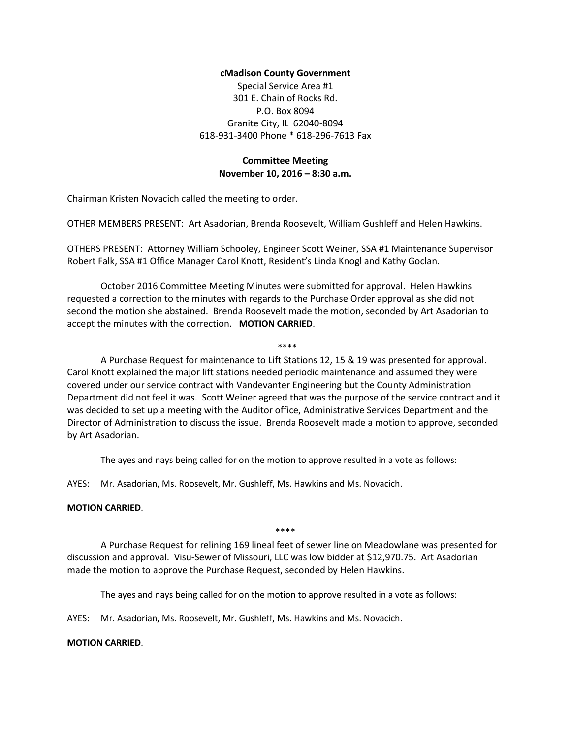## **cMadison County Government**

Special Service Area #1 301 E. Chain of Rocks Rd. P.O. Box 8094 Granite City, IL 62040-8094 618-931-3400 Phone \* 618-296-7613 Fax

# **Committee Meeting November 10, 2016 – 8:30 a.m.**

Chairman Kristen Novacich called the meeting to order.

OTHER MEMBERS PRESENT: Art Asadorian, Brenda Roosevelt, William Gushleff and Helen Hawkins.

OTHERS PRESENT: Attorney William Schooley, Engineer Scott Weiner, SSA #1 Maintenance Supervisor Robert Falk, SSA #1 Office Manager Carol Knott, Resident's Linda Knogl and Kathy Goclan.

October 2016 Committee Meeting Minutes were submitted for approval. Helen Hawkins requested a correction to the minutes with regards to the Purchase Order approval as she did not second the motion she abstained. Brenda Roosevelt made the motion, seconded by Art Asadorian to accept the minutes with the correction. **MOTION CARRIED**.

A Purchase Request for maintenance to Lift Stations 12, 15 & 19 was presented for approval. Carol Knott explained the major lift stations needed periodic maintenance and assumed they were covered under our service contract with Vandevanter Engineering but the County Administration Department did not feel it was. Scott Weiner agreed that was the purpose of the service contract and it was decided to set up a meeting with the Auditor office, Administrative Services Department and the Director of Administration to discuss the issue. Brenda Roosevelt made a motion to approve, seconded by Art Asadorian.

\*\*\*\*

The ayes and nays being called for on the motion to approve resulted in a vote as follows:

AYES: Mr. Asadorian, Ms. Roosevelt, Mr. Gushleff, Ms. Hawkins and Ms. Novacich.

#### **MOTION CARRIED**.

\*\*\*\*

A Purchase Request for relining 169 lineal feet of sewer line on Meadowlane was presented for discussion and approval. Visu-Sewer of Missouri, LLC was low bidder at \$12,970.75. Art Asadorian made the motion to approve the Purchase Request, seconded by Helen Hawkins.

The ayes and nays being called for on the motion to approve resulted in a vote as follows:

AYES: Mr. Asadorian, Ms. Roosevelt, Mr. Gushleff, Ms. Hawkins and Ms. Novacich.

#### **MOTION CARRIED**.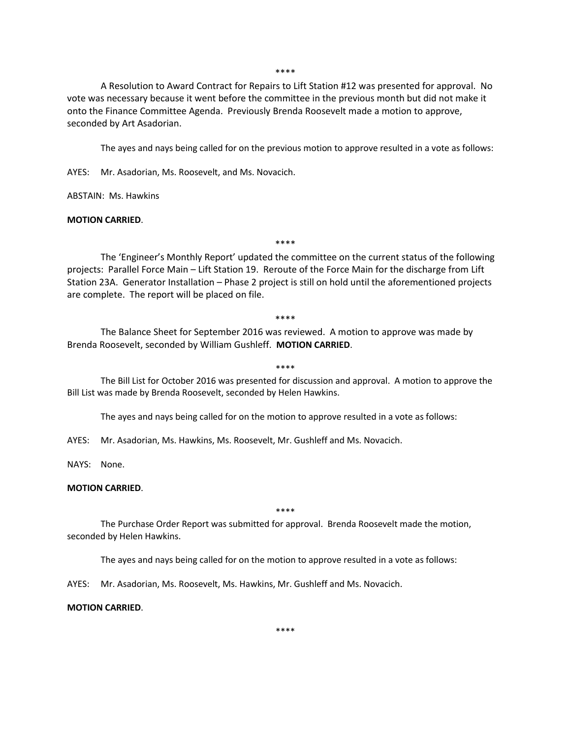\*\*\*\*

A Resolution to Award Contract for Repairs to Lift Station #12 was presented for approval. No vote was necessary because it went before the committee in the previous month but did not make it onto the Finance Committee Agenda. Previously Brenda Roosevelt made a motion to approve, seconded by Art Asadorian.

The ayes and nays being called for on the previous motion to approve resulted in a vote as follows:

AYES: Mr. Asadorian, Ms. Roosevelt, and Ms. Novacich.

ABSTAIN: Ms. Hawkins

#### **MOTION CARRIED**.

\*\*\*\*

The 'Engineer's Monthly Report' updated the committee on the current status of the following projects: Parallel Force Main – Lift Station 19. Reroute of the Force Main for the discharge from Lift Station 23A. Generator Installation – Phase 2 project is still on hold until the aforementioned projects are complete. The report will be placed on file.

\*\*\*\*

The Balance Sheet for September 2016 was reviewed. A motion to approve was made by Brenda Roosevelt, seconded by William Gushleff. **MOTION CARRIED**.

\*\*\*\*

The Bill List for October 2016 was presented for discussion and approval. A motion to approve the Bill List was made by Brenda Roosevelt, seconded by Helen Hawkins.

The ayes and nays being called for on the motion to approve resulted in a vote as follows:

AYES: Mr. Asadorian, Ms. Hawkins, Ms. Roosevelt, Mr. Gushleff and Ms. Novacich.

NAYS: None.

### **MOTION CARRIED**.

\*\*\*\*

The Purchase Order Report was submitted for approval. Brenda Roosevelt made the motion, seconded by Helen Hawkins.

The ayes and nays being called for on the motion to approve resulted in a vote as follows:

AYES: Mr. Asadorian, Ms. Roosevelt, Ms. Hawkins, Mr. Gushleff and Ms. Novacich.

#### **MOTION CARRIED**.

\*\*\*\*